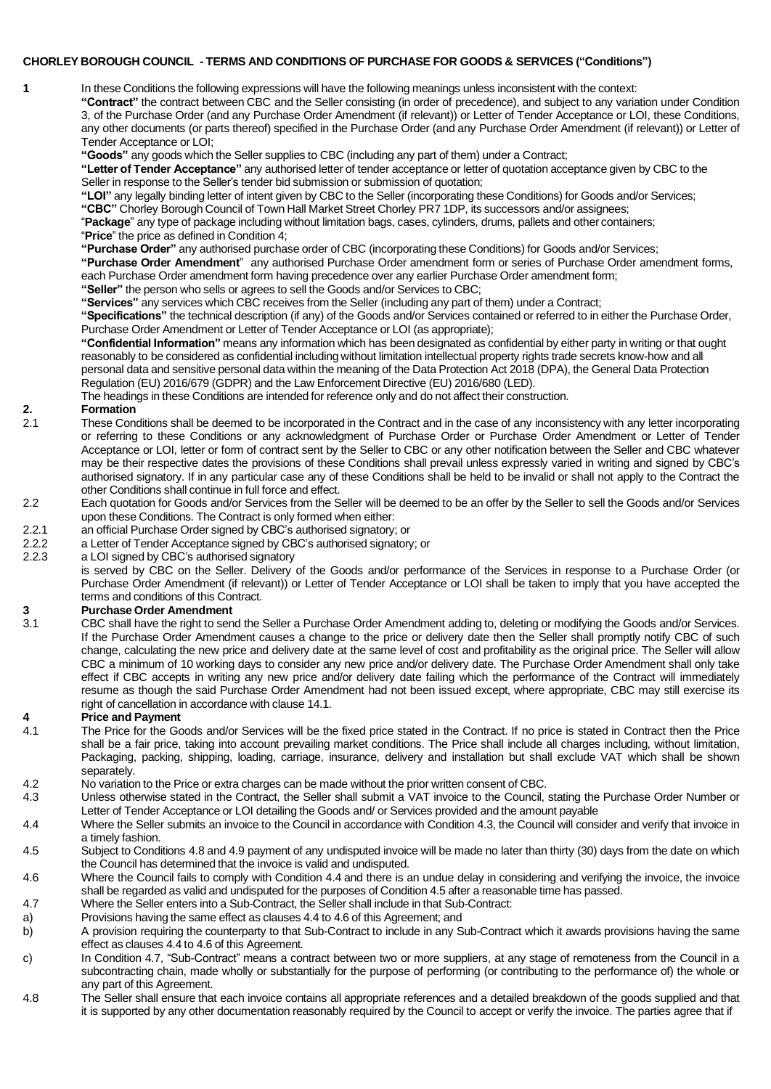## **CHORLEY BOROUGH COUNCIL - TERMS AND CONDITIONS OF PURCHASE FOR GOODS & SERVICES ("Conditions")**

**1** In these Conditions the following expressions will have the following meanings unless inconsistent with the context:

**"Contract"** the contract between CBC and the Seller consisting (in order of precedence), and subject to any variation under Condition 3, of the Purchase Order (and any Purchase Order Amendment (if relevant)) or Letter of Tender Acceptance or LOI, these Conditions, any other documents (or parts thereof) specified in the Purchase Order (and any Purchase Order Amendment (if relevant)) or Letter of Tender Acceptance or LOI;

**"Goods"** any goods which the Seller supplies to CBC (including any part of them) under a Contract;

**"Letter of Tender Acceptance"** any authorised letter of tender acceptance or letter of quotation acceptance given by CBC to the Seller in response to the Seller's tender bid submission or submission of quotation;

**"LOI"** any legally binding letter of intent given by CBC to the Seller (incorporating these Conditions) for Goods and/or Services;

**"CBC"** Chorley Borough Council of Town Hall Market Street Chorley PR7 1DP, its successors and/or assignees;

"**Package**" any type of package including without limitation bags, cases, cylinders, drums, pallets and other containers;

"**Price**" the price as defined in Condition 4;

**"Purchase Order"** any authorised purchase order of CBC (incorporating these Conditions) for Goods and/or Services;

**"Purchase Order Amendment**" any authorised Purchase Order amendment form or series of Purchase Order amendment forms, each Purchase Order amendment form having precedence over any earlier Purchase Order amendment form;

**"Seller"** the person who sells or agrees to sell the Goods and/or Services to CBC;

**"Services"** any services which CBC receives from the Seller (including any part of them) under a Contract;

**"Specifications"** the technical description (if any) of the Goods and/or Services contained or referred to in either the Purchase Order, Purchase Order Amendment or Letter of Tender Acceptance or LOI (as appropriate);

**"Confidential Information"** means any information which has been designated as confidential by either party in writing or that ought reasonably to be considered as confidential including without limitation intellectual property rights trade secrets know-how and all personal data and sensitive personal data within the meaning of the Data Protection Act 2018 (DPA), the General Data Protection Regulation (EU) 2016/679 (GDPR) and the Law Enforcement Directive (EU) 2016/680 (LED).

The headings in these Conditions are intended for reference only and do not affect their construction.

## **2. Formation**

- 2.1 These Conditions shall be deemed to be incorporated in the Contract and in the case of any inconsistency with any letter incorporating or referring to these Conditions or any acknowledgment of Purchase Order or Purchase Order Amendment or Letter of Tender Acceptance or LOI, letter or form of contract sent by the Seller to CBC or any other notification between the Seller and CBC whatever may be their respective dates the provisions of these Conditions shall prevail unless expressly varied in writing and signed by CBC's authorised signatory. If in any particular case any of these Conditions shall be held to be invalid or shall not apply to the Contract the other Conditions shall continue in full force and effect.
- 2.2 Each quotation for Goods and/or Services from the Seller will be deemed to be an offer by the Seller to sell the Goods and/or Services upon these Conditions. The Contract is only formed when either:
- 2.2.1 an official Purchase Order signed by CBC's authorised signatory; or
- 2.2.2 a Letter of Tender Acceptance signed by CBC's authorised signatory; or
- 2.2.3 a LOI signed by CBC's authorised signatory

is served by CBC on the Seller. Delivery of the Goods and/or performance of the Services in response to a Purchase Order (or Purchase Order Amendment (if relevant)) or Letter of Tender Acceptance or LOI shall be taken to imply that you have accepted the terms and conditions of this Contract.

### **3 Purchase Order Amendment**

3.1 CBC shall have the right to send the Seller a Purchase Order Amendment adding to, deleting or modifying the Goods and/or Services. If the Purchase Order Amendment causes a change to the price or delivery date then the Seller shall promptly notify CBC of such change, calculating the new price and delivery date at the same level of cost and profitability as the original price. The Seller will allow CBC a minimum of 10 working days to consider any new price and/or delivery date. The Purchase Order Amendment shall only take effect if CBC accepts in writing any new price and/or delivery date failing which the performance of the Contract will immediately resume as though the said Purchase Order Amendment had not been issued except, where appropriate, CBC may still exercise its right of cancellation in accordance with clause 14.1.

### **4 Price and Payment**

- 4.1 The Price for the Goods and/or Services will be the fixed price stated in the Contract. If no price is stated in Contract then the Price shall be a fair price, taking into account prevailing market conditions. The Price shall include all charges including, without limitation, Packaging, packing, shipping, loading, carriage, insurance, delivery and installation but shall exclude VAT which shall be shown separately.
- 4.2 No variation to the Price or extra charges can be made without the prior written consent of CBC.
- 4.3 Unless otherwise stated in the Contract, the Seller shall submit a VAT invoice to the Council, stating the Purchase Order Number or Letter of Tender Acceptance or LOI detailing the Goods and/ or Services provided and the amount payable
- 4.4 Where the Seller submits an invoice to the Council in accordance with Condition 4.3, the Council will consider and verify that invoice in a timely fashion.
- 4.5 Subject to Conditions 4.8 and 4.9 payment of any undisputed invoice will be made no later than thirty (30) days from the date on which the Council has determined that the invoice is valid and undisputed.
- 4.6 Where the Council fails to comply with Condition 4.4 and there is an undue delay in considering and verifying the invoice, the invoice shall be regarded as valid and undisputed for the purposes of Condition 4.5 after a reasonable time has passed.
- 4.7 Where the Seller enters into a Sub-Contract, the Seller shall include in that Sub-Contract: a) Provisions having the same effect as clauses 4.4 to 4.6 of this Agreement; and
- b) A provision requiring the counterparty to that Sub-Contract to include in any Sub-Contract which it awards provisions having the same effect as clauses 4.4 to 4.6 of this Agreement.
- c) In Condition 4.7, "Sub-Contract" means a contract between two or more suppliers, at any stage of remoteness from the Council in a subcontracting chain, made wholly or substantially for the purpose of performing (or contributing to the performance of) the whole or any part of this Agreement.
- 4.8 The Seller shall ensure that each invoice contains all appropriate references and a detailed breakdown of the goods supplied and that it is supported by any other documentation reasonably required by the Council to accept or verify the invoice. The parties agree that if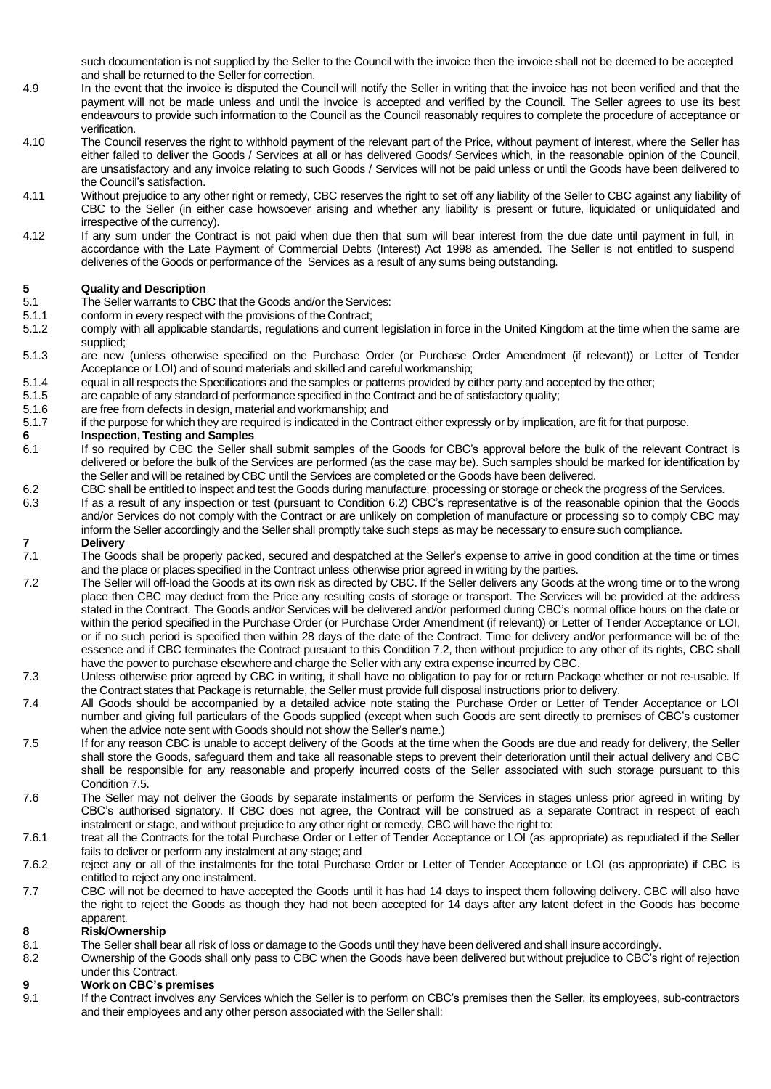such documentation is not supplied by the Seller to the Council with the invoice then the invoice shall not be deemed to be accepted and shall be returned to the Seller for correction.

- 4.9 In the event that the invoice is disputed the Council will notify the Seller in writing that the invoice has not been verified and that the payment will not be made unless and until the invoice is accepted and verified by the Council. The Seller agrees to use its best endeavours to provide such information to the Council as the Council reasonably requires to complete the procedure of acceptance or verification.
- 4.10 The Council reserves the right to withhold payment of the relevant part of the Price, without payment of interest, where the Seller has either failed to deliver the Goods / Services at all or has delivered Goods/ Services which, in the reasonable opinion of the Council, are unsatisfactory and any invoice relating to such Goods / Services will not be paid unless or until the Goods have been delivered to the Council's satisfaction.
- 4.11 Without prejudice to any other right or remedy, CBC reserves the right to set off any liability of the Seller to CBC against any liability of CBC to the Seller (in either case howsoever arising and whether any liability is present or future, liquidated or unliquidated and irrespective of the currency).
- 4.12 If any sum under the Contract is not paid when due then that sum will bear interest from the due date until payment in full, in accordance with the Late Payment of Commercial Debts (Interest) Act 1998 as amended. The Seller is not entitled to suspend deliveries of the Goods or performance of the Services as a result of any sums being outstanding.

## **5 Quality and Description**

- 5.1 The Seller warrants to CBC that the Goods and/or the Services:
- 5.1.1 conform in every respect with the provisions of the Contract;
- 5.1.2 comply with all applicable standards, regulations and current legislation in force in the United Kingdom at the time when the same are supplied;
- 5.1.3 are new (unless otherwise specified on the Purchase Order (or Purchase Order Amendment (if relevant)) or Letter of Tender Acceptance or LOI) and of sound materials and skilled and careful workmanship;
- 5.1.4 equal in all respects the Specifications and the samples or patterns provided by either party and accepted by the other;
- 5.1.5 are capable of any standard of performance specified in the Contract and be of satisfactory quality;
- 5.1.6 are free from defects in design, material and workmanship; and
- 5.1.7 if the purpose for which they are required is indicated in the Contract either expressly or by implication, are fit for that purpose.

## **6 Inspection, Testing and Samples**

- 6.1 If so required by CBC the Seller shall submit samples of the Goods for CBC's approval before the bulk of the relevant Contract is delivered or before the bulk of the Services are performed (as the case may be). Such samples should be marked for identification by the Seller and will be retained by CBC until the Services are completed or the Goods have been delivered.
- 6.2 CBC shall be entitled to inspect and test the Goods during manufacture, processing or storage or check the progress of the Services. 6.3 If as a result of any inspection or test (pursuant to Condition 6.2) CBC's representative is of the reasonable opinion that the Goods and/or Services do not comply with the Contract or are unlikely on completion of manufacture or processing so to comply CBC may inform the Seller accordingly and the Seller shall promptly take such steps as may be necessary to ensure such compliance. **7 Delivery**
- 7.1 The Goods shall be properly packed, secured and despatched at the Seller's expense to arrive in good condition at the time or times and the place or places specified in the Contract unless otherwise prior agreed in writing by the parties.
- 7.2 The Seller will off-load the Goods at its own risk as directed by CBC. If the Seller delivers any Goods at the wrong time or to the wrong place then CBC may deduct from the Price any resulting costs of storage or transport. The Services will be provided at the address stated in the Contract. The Goods and/or Services will be delivered and/or performed during CBC's normal office hours on the date or within the period specified in the Purchase Order (or Purchase Order Amendment (if relevant)) or Letter of Tender Acceptance or LOI, or if no such period is specified then within 28 days of the date of the Contract. Time for delivery and/or performance will be of the essence and if CBC terminates the Contract pursuant to this Condition 7.2, then without prejudice to any other of its rights, CBC shall have the power to purchase elsewhere and charge the Seller with any extra expense incurred by CBC.
- 7.3 Unless otherwise prior agreed by CBC in writing, it shall have no obligation to pay for or return Package whether or not re-usable. If the Contract states that Package is returnable, the Seller must provide full disposal instructions prior to delivery.
- 7.4 All Goods should be accompanied by a detailed advice note stating the Purchase Order or Letter of Tender Acceptance or LOI number and giving full particulars of the Goods supplied (except when such Goods are sent directly to premises of CBC's customer when the advice note sent with Goods should not show the Seller's name.)
- 7.5 If for any reason CBC is unable to accept delivery of the Goods at the time when the Goods are due and ready for delivery, the Seller shall store the Goods, safeguard them and take all reasonable steps to prevent their deterioration until their actual delivery and CBC shall be responsible for any reasonable and properly incurred costs of the Seller associated with such storage pursuant to this Condition 7.5.
- 7.6 The Seller may not deliver the Goods by separate instalments or perform the Services in stages unless prior agreed in writing by CBC's authorised signatory. If CBC does not agree, the Contract will be construed as a separate Contract in respect of each instalment or stage, and without prejudice to any other right or remedy, CBC will have the right to:
- 7.6.1 treat all the Contracts for the total Purchase Order or Letter of Tender Acceptance or LOI (as appropriate) as repudiated if the Seller fails to deliver or perform any instalment at any stage; and
- 7.6.2 reject any or all of the instalments for the total Purchase Order or Letter of Tender Acceptance or LOI (as appropriate) if CBC is entitled to reject any one instalment.
- 7.7 CBC will not be deemed to have accepted the Goods until it has had 14 days to inspect them following delivery. CBC will also have the right to reject the Goods as though they had not been accepted for 14 days after any latent defect in the Goods has become apparent.

# **8 Risk/Ownership**

- The Seller shall bear all risk of loss or damage to the Goods until they have been delivered and shall insure accordingly.
- 8.2 Ownership of the Goods shall only pass to CBC when the Goods have been delivered but without prejudice to CBC's right of rejection under this Contract.

## **9 Work on CBC's premises**

9.1 If the Contract involves any Services which the Seller is to perform on CBC's premises then the Seller, its employees, sub-contractors and their employees and any other person associated with the Seller shall: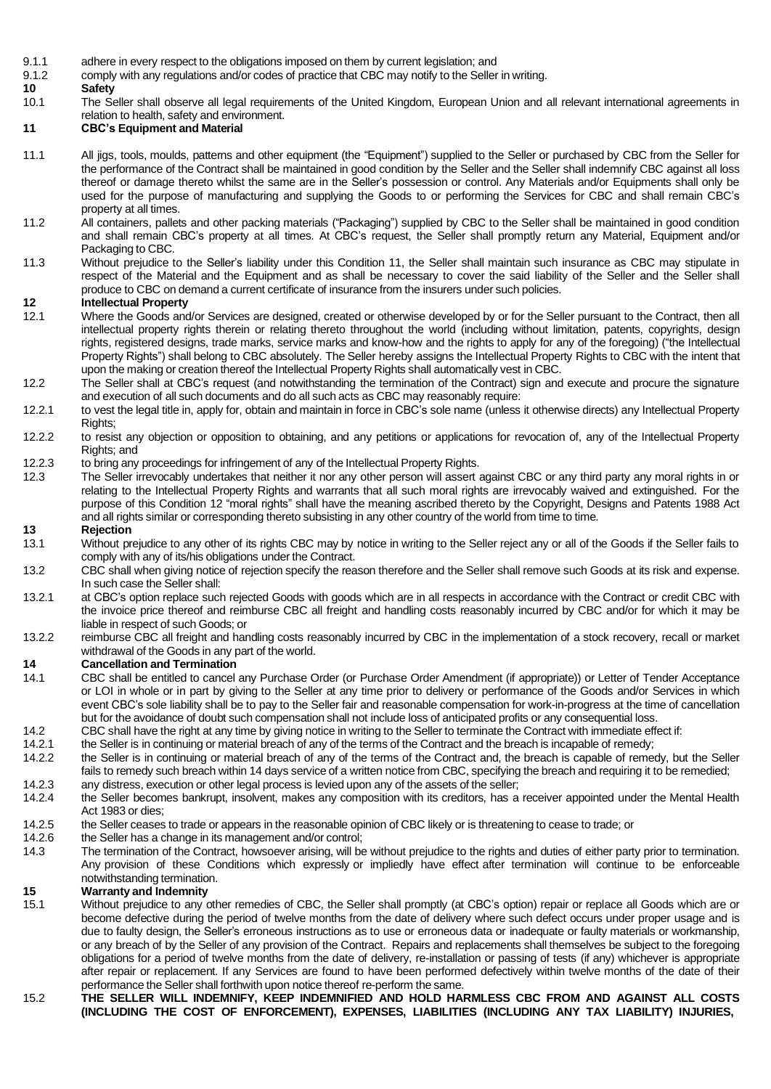- 9.1.1 adhere in every respect to the obligations imposed on them by current legislation; and
- 9.1.2 comply with any regulations and/or codes of practice that CBC may notify to the Seller in writing.

### **10 Safety**

10.1 The Seller shall observe all legal requirements of the United Kingdom, European Union and all relevant international agreements in relation to health, safety and environment.

## **11 CBC's Equipment and Material**

- 11.1 All jigs, tools, moulds, patterns and other equipment (the "Equipment") supplied to the Seller or purchased by CBC from the Seller for the performance of the Contract shall be maintained in good condition by the Seller and the Seller shall indemnify CBC against all loss thereof or damage thereto whilst the same are in the Seller's possession or control. Any Materials and/or Equipments shall only be used for the purpose of manufacturing and supplying the Goods to or performing the Services for CBC and shall remain CBC's property at all times.
- 11.2 All containers, pallets and other packing materials ("Packaging") supplied by CBC to the Seller shall be maintained in good condition and shall remain CBC's property at all times. At CBC's request, the Seller shall promptly return any Material, Equipment and/or Packaging to CBC.
- 11.3 Without prejudice to the Seller's liability under this Condition 11, the Seller shall maintain such insurance as CBC may stipulate in respect of the Material and the Equipment and as shall be necessary to cover the said liability of the Seller and the Seller shall produce to CBC on demand a current certificate of insurance from the insurers under such policies.

### **12 Intellectual Property**

- 12.1 Where the Goods and/or Services are designed, created or otherwise developed by or for the Seller pursuant to the Contract, then all intellectual property rights therein or relating thereto throughout the world (including without limitation, patents, copyrights, design rights, registered designs, trade marks, service marks and know-how and the rights to apply for any of the foregoing) ("the Intellectual Property Rights") shall belong to CBC absolutely. The Seller hereby assigns the Intellectual Property Rights to CBC with the intent that upon the making or creation thereof the Intellectual Property Rights shall automatically vest in CBC.
- 12.2 The Seller shall at CBC's request (and notwithstanding the termination of the Contract) sign and execute and procure the signature and execution of all such documents and do all such acts as CBC may reasonably require:
- 12.2.1 to vest the legal title in, apply for, obtain and maintain in force in CBC's sole name (unless it otherwise directs) any Intellectual Property Rights;
- 12.2.2 to resist any objection or opposition to obtaining, and any petitions or applications for revocation of, any of the Intellectual Property Rights; and
- 12.2.3 to bring any proceedings for infringement of any of the Intellectual Property Rights.<br>12.3 The Seller irrevocably undertakes that neither it nor any other person will assert a
- 12.3 The Seller irrevocably undertakes that neither it nor any other person will assert against CBC or any third party any moral rights in or relating to the Intellectual Property Rights and warrants that all such moral rights are irrevocably waived and extinguished. For the purpose of this Condition 12 "moral rights" shall have the meaning ascribed thereto by the Copyright, Designs and Patents 1988 Act and all rights similar or corresponding thereto subsisting in any other country of the world from time to time.

## **13 Rejection**

- 13.1 Without prejudice to any other of its rights CBC may by notice in writing to the Seller reject any or all of the Goods if the Seller fails to comply with any of its/his obligations under the Contract.
- 13.2 CBC shall when giving notice of rejection specify the reason therefore and the Seller shall remove such Goods at its risk and expense. In such case the Seller shall:
- 13.2.1 at CBC's option replace such rejected Goods with goods which are in all respects in accordance with the Contract or credit CBC with the invoice price thereof and reimburse CBC all freight and handling costs reasonably incurred by CBC and/or for which it may be liable in respect of such Goods; or
- 13.2.2 reimburse CBC all freight and handling costs reasonably incurred by CBC in the implementation of a stock recovery, recall or market withdrawal of the Goods in any part of the world.

### **14 Cancellation and Termination**

- 14.1 CBC shall be entitled to cancel any Purchase Order (or Purchase Order Amendment (if appropriate)) or Letter of Tender Acceptance or LOI in whole or in part by giving to the Seller at any time prior to delivery or performance of the Goods and/or Services in which event CBC's sole liability shall be to pay to the Seller fair and reasonable compensation for work-in-progress at the time of cancellation but for the avoidance of doubt such compensation shall not include loss of anticipated profits or any consequential loss.
- 14.2 CBC shall have the right at any time by giving notice in writing to the Seller to terminate the Contract with immediate effect if:
- 14.2.1 the Seller is in continuing or material breach of any of the terms of the Contract and the breach is incapable of remedy;
- 14.2.2 the Seller is in continuing or material breach of any of the terms of the Contract and, the breach is capable of remedy, but the Seller fails to remedy such breach within 14 days service of a written notice from CBC, specifying the breach and requiring it to be remedied; 14.2.3 any distress, execution or other legal process is levied upon any of the assets of the seller;
- 
- 14.2.4 the Seller becomes bankrupt, insolvent, makes any composition with its creditors, has a receiver appointed under the Mental Health Act 1983 or dies;
- 14.2.5 the Seller ceases to trade or appears in the reasonable opinion of CBC likely or is threatening to cease to trade; or
- 14.2.6 the Seller has a change in its management and/or control;
- 14.3 The termination of the Contract, howsoever arising, will be without prejudice to the rights and duties of either party prior to termination. Any provision of these Conditions which expressly or impliedly have effect after termination will continue to be enforceable notwithstanding termination.

# **15 Warranty and Indemnity**

- 15.1 Without prejudice to any other remedies of CBC, the Seller shall promptly (at CBC's option) repair or replace all Goods which are or become defective during the period of twelve months from the date of delivery where such defect occurs under proper usage and is due to faulty design, the Seller's erroneous instructions as to use or erroneous data or inadequate or faulty materials or workmanship, or any breach of by the Seller of any provision of the Contract. Repairs and replacements shall themselves be subject to the foregoing obligations for a period of twelve months from the date of delivery, re-installation or passing of tests (if any) whichever is appropriate after repair or replacement. If any Services are found to have been performed defectively within twelve months of the date of their performance the Seller shall forthwith upon notice thereof re-perform the same.
- 15.2 **THE SELLER WILL INDEMNIFY, KEEP INDEMNIFIED AND HOLD HARMLESS CBC FROM AND AGAINST ALL COSTS (INCLUDING THE COST OF ENFORCEMENT), EXPENSES, LIABILITIES (INCLUDING ANY TAX LIABILITY) INJURIES,**